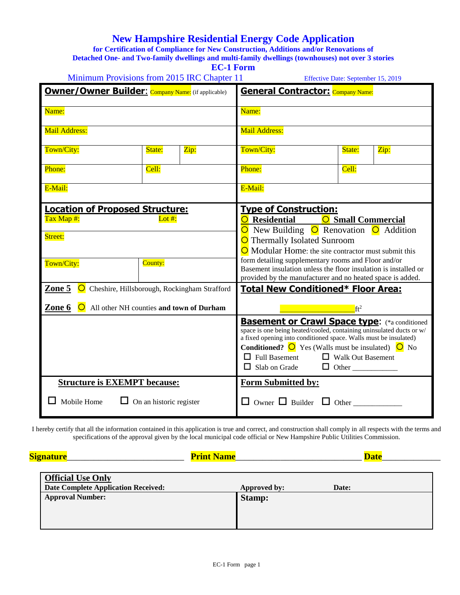## **New Hampshire Residential Energy Code Application**

**for Certification of Compliance for New Construction, Additions and/or Renovations of Detached One- and Two-family dwellings and multi-family dwellings (townhouses) not over 3 stories**

| <b>EC-1 Form</b>                                                                                         |                                |                                                                                                                                                                                                                                                                                                                                                                                    |                                                                                                                                                                                                                                                       |        |      |  |
|----------------------------------------------------------------------------------------------------------|--------------------------------|------------------------------------------------------------------------------------------------------------------------------------------------------------------------------------------------------------------------------------------------------------------------------------------------------------------------------------------------------------------------------------|-------------------------------------------------------------------------------------------------------------------------------------------------------------------------------------------------------------------------------------------------------|--------|------|--|
| Minimum Provisions from 2015 IRC Chapter 11<br><b>Owner/Owner Builder:</b> Company Name: (if applicable) |                                |                                                                                                                                                                                                                                                                                                                                                                                    | Effective Date: September 15, 2019<br><b>General Contractor:</b> Company Name:                                                                                                                                                                        |        |      |  |
| Name:                                                                                                    |                                |                                                                                                                                                                                                                                                                                                                                                                                    | Name:                                                                                                                                                                                                                                                 |        |      |  |
| <b>Mail Address:</b>                                                                                     |                                |                                                                                                                                                                                                                                                                                                                                                                                    | <b>Mail Address:</b>                                                                                                                                                                                                                                  |        |      |  |
| Town/City:                                                                                               | State:                         | Zip:                                                                                                                                                                                                                                                                                                                                                                               | Town/City:                                                                                                                                                                                                                                            | State: | Zip: |  |
| Phone:                                                                                                   | Cell:                          |                                                                                                                                                                                                                                                                                                                                                                                    | Phone:                                                                                                                                                                                                                                                | Cell:  |      |  |
| E-Mail:                                                                                                  |                                |                                                                                                                                                                                                                                                                                                                                                                                    | E-Mail:                                                                                                                                                                                                                                               |        |      |  |
| <b>Location of Proposed Structure:</b><br>Tax Map #:<br>Lot #:<br>Street:                                |                                | <b>Type of Construction:</b><br>O Residential<br><b>O</b> Small Commercial<br>O New Building O Renovation O Addition<br>O Thermally Isolated Sunroom                                                                                                                                                                                                                               |                                                                                                                                                                                                                                                       |        |      |  |
| Town/City:                                                                                               | County:                        |                                                                                                                                                                                                                                                                                                                                                                                    | $\bigcirc$ Modular Home: the site contractor must submit this<br>form detailing supplementary rooms and Floor and/or<br>Basement insulation unless the floor insulation is installed or<br>provided by the manufacturer and no heated space is added. |        |      |  |
| Zone 5 O Cheshire, Hillsborough, Rockingham Strafford                                                    |                                | <b>Total New Conditioned* Floor Area:</b>                                                                                                                                                                                                                                                                                                                                          |                                                                                                                                                                                                                                                       |        |      |  |
| All other NH counties and town of Durham<br>Zone 6<br>$\circ$                                            |                                | ft <sup>2</sup>                                                                                                                                                                                                                                                                                                                                                                    |                                                                                                                                                                                                                                                       |        |      |  |
|                                                                                                          |                                | <b>Basement or Crawl Space type: (*a conditioned</b><br>space is one being heated/cooled, containing uninsulated ducts or w/<br>a fixed opening into conditioned space. Walls must be insulated)<br><b>Conditioned?</b> $\overline{O}$ Yes (Walls must be insulated) $\overline{O}$ No<br>$\Box$ Full Basement<br>$\Box$ Walk Out Basement<br>$\Box$ Slab on Grade<br>$\Box$ Other |                                                                                                                                                                                                                                                       |        |      |  |
| <b>Structure is EXEMPT because:</b>                                                                      |                                | <b>Form Submitted by:</b>                                                                                                                                                                                                                                                                                                                                                          |                                                                                                                                                                                                                                                       |        |      |  |
| Mobile Home                                                                                              | $\Box$ On an historic register |                                                                                                                                                                                                                                                                                                                                                                                    | Owner $\Box$ Builder $\Box$ Other<br>ப                                                                                                                                                                                                                |        |      |  |

I hereby certify that all the information contained in this application is true and correct, and construction shall comply in all respects with the terms and specifications of the approval given by the local municipal code official or New Hampshire Public Utilities Commission.

| <b>Signature</b>                                                       | <b>Print Name</b> | <b>Date</b> |
|------------------------------------------------------------------------|-------------------|-------------|
| <b>Official Use Only</b><br><b>Date Complete Application Received:</b> | Approved by:      | Date:       |
| <b>Approval Number:</b>                                                | <b>Stamp:</b>     |             |
|                                                                        |                   |             |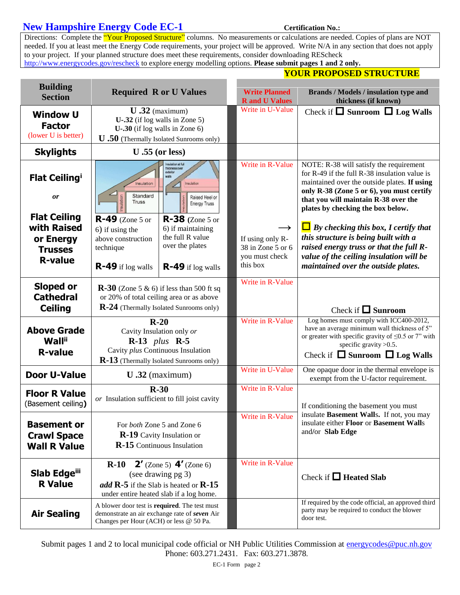### **New Hampshire Energy Code EC-1** Certification No.:

Directions: Complete the "Your Proposed Structure" columns. No measurements or calculations are needed. Copies of plans are NOT needed. If you at least meet the Energy Code requirements, your project will be approved. Write N/A in any section that does not apply to your project. If your planned structure does meet these requirements, consider downloading REScheck <http://www.energycodes.gov/rescheck> to explore energy modelling options. **Please submit pages 1 and 2 only.** 

| <b>Building</b><br><b>Section</b>                                                                                       | <b>Required R or U Values</b>                                                                                                                                                                                                                                                                                                                                                   | <b>Write Planned</b><br><b>R</b> and <b>U</b> Values                                                     | Brands / Models / insulation type and<br>thickness (if known)                                                                                                                                                                                                                                                                                                                                                                                                                              |  |
|-------------------------------------------------------------------------------------------------------------------------|---------------------------------------------------------------------------------------------------------------------------------------------------------------------------------------------------------------------------------------------------------------------------------------------------------------------------------------------------------------------------------|----------------------------------------------------------------------------------------------------------|--------------------------------------------------------------------------------------------------------------------------------------------------------------------------------------------------------------------------------------------------------------------------------------------------------------------------------------------------------------------------------------------------------------------------------------------------------------------------------------------|--|
| <b>Window U</b><br><b>Factor</b><br>(lower U is better)                                                                 | $U$ .32 (maximum)<br>$U$ -.32 (if log walls in Zone 5)<br>$U-30$ (if log walls in Zone 6)<br><b>U</b> .50 (Thermally Isolated Sunrooms only)                                                                                                                                                                                                                                    | Write in U-Value                                                                                         | Check if $\Box$ Sunroom $\Box$ Log Walls                                                                                                                                                                                                                                                                                                                                                                                                                                                   |  |
| <b>Skylights</b>                                                                                                        | $U.55$ (or less)                                                                                                                                                                                                                                                                                                                                                                |                                                                                                          |                                                                                                                                                                                                                                                                                                                                                                                                                                                                                            |  |
| <b>Flat Ceiling</b><br><b>or</b><br><b>Flat Ceiling</b><br>with Raised<br>or Energy<br><b>Trusses</b><br><b>R-value</b> | nsulation at full<br>hickness over<br>exterior<br>walls<br>Insulation<br>Insulation<br>$\triangle$<br>Standard<br>Raised Heel or<br><b>Truss</b><br><b>Energy Truss</b><br>$R-49$ (Zone 5 or<br>$R-38$ (Zone 5 or<br>6) if maintaining<br>6) if using the<br>the full R value<br>above construction<br>over the plates<br>technique<br>R-49 if log walls<br>$R-49$ if log walls | Write in R-Value<br>$\rightarrow$<br>If using only R-<br>38 in Zone 5 or 6<br>you must check<br>this box | NOTE: R-38 will satisfy the requirement<br>for $R-49$ if the full $R-38$ insulation value is<br>maintained over the outside plates. If using<br>only R-38 (Zone 5 or 6), you must certify<br>that you will maintain R-38 over the<br>plates by checking the box below.<br>$\Box$ By checking this box, I certify that<br>this structure is being built with a<br>raised energy truss or that the full R-<br>value of the ceiling insulation will be<br>maintained over the outside plates. |  |
| Sloped or<br><b>Cathedral</b><br><b>Ceiling</b>                                                                         | $\mathbf{R}\text{-}30$ (Zone 5 & 6) if less than 500 ft sq<br>or 20% of total ceiling area or as above<br>R-24 (Thermally Isolated Sunrooms only)                                                                                                                                                                                                                               | Write in R-Value                                                                                         | Check if $\Box$ Sunroom                                                                                                                                                                                                                                                                                                                                                                                                                                                                    |  |
| <b>Above Grade</b><br><b>Wall</b> <sup>ii</sup><br><b>R-value</b>                                                       | $R-20$<br>Cavity Insulation only or<br>$R-13$ plus $R-5$<br>Cavity plus Continuous Insulation<br>R-13 (Thermally Isolated Sunrooms only)                                                                                                                                                                                                                                        | Write in R-Value                                                                                         | Log homes must comply with ICC400-2012,<br>have an average minimum wall thickness of 5"<br>or greater with specific gravity of $\leq 0.5$ or 7" with<br>specific gravity $>0.5$ .<br>Check if $\Box$ Sunroom $\Box$ Log Walls                                                                                                                                                                                                                                                              |  |
| <b>Door U-Value</b>                                                                                                     | $U$ .32 (maximum)                                                                                                                                                                                                                                                                                                                                                               | Write in U-Value                                                                                         | One opaque door in the thermal envelope is<br>exempt from the U-factor requirement.                                                                                                                                                                                                                                                                                                                                                                                                        |  |
| <b>Floor R Value</b><br>(Basement ceiling)                                                                              | $R-30$<br>or Insulation sufficient to fill joist cavity                                                                                                                                                                                                                                                                                                                         | Write in R-Value                                                                                         | If conditioning the basement you must                                                                                                                                                                                                                                                                                                                                                                                                                                                      |  |
| <b>Basement or</b><br><b>Crawl Space</b><br><b>Wall R Value</b>                                                         | For both Zone 5 and Zone 6<br><b>R-19</b> Cavity Insulation or<br>R-15 Continuous Insulation                                                                                                                                                                                                                                                                                    | Write in R-Value                                                                                         | insulate Basement Walls. If not, you may<br>insulate either Floor or Basement Walls<br>and/or Slab Edge                                                                                                                                                                                                                                                                                                                                                                                    |  |
| Slab Edgeili<br><b>R</b> Value                                                                                          | <b>2'</b> (Zone 5) $4'$ (Zone 6)<br>$R-10$<br>(see drawing pg 3)<br>add $\mathbb{R}$ -5 if the Slab is heated or $\mathbb{R}$ -15<br>under entire heated slab if a log home.                                                                                                                                                                                                    | Write in R-Value                                                                                         | Check if $\Box$ Heated Slab                                                                                                                                                                                                                                                                                                                                                                                                                                                                |  |
| <b>Air Sealing</b>                                                                                                      | A blower door test is required. The test must<br>demonstrate an air exchange rate of seven Air<br>Changes per Hour (ACH) or less @ 50 Pa.                                                                                                                                                                                                                                       |                                                                                                          | If required by the code official, an approved third<br>party may be required to conduct the blower<br>door test.                                                                                                                                                                                                                                                                                                                                                                           |  |

Submit pages 1 and 2 to local municipal code official or NH Public Utilities Commission at [energycodes@puc.nh.gov](mailto:energycodes@puc.nh.gov) Phone: 603.271.2431. Fax: 603.271.3878.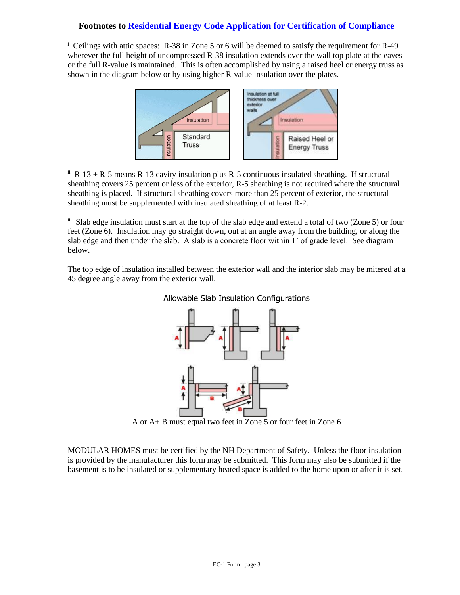### **Footnotes to Residential Energy Code Application for Certification of Compliance**

 $\overline{a}$ 

i Ceilings with attic spaces: R-38 in Zone 5 or 6 will be deemed to satisfy the requirement for R-49 wherever the full height of uncompressed R-38 insulation extends over the wall top plate at the eaves or the full R-value is maintained. This is often accomplished by using a raised heel or energy truss as shown in the diagram below or by using higher R-value insulation over the plates.



 $\mu$ <sup>ii</sup> R-13 + R-5 means R-13 cavity insulation plus R-5 continuous insulated sheathing. If structural sheathing covers 25 percent or less of the exterior, R-5 sheathing is not required where the structural sheathing is placed. If structural sheathing covers more than 25 percent of exterior, the structural sheathing must be supplemented with insulated sheathing of at least R-2.

iii Slab edge insulation must start at the top of the slab edge and extend a total of two (Zone 5) or four feet (Zone 6). Insulation may go straight down, out at an angle away from the building, or along the slab edge and then under the slab. A slab is a concrete floor within 1' of grade level. See diagram below.

The top edge of insulation installed between the exterior wall and the interior slab may be mitered at a 45 degree angle away from the exterior wall.



#### Allowable Slab Insulation Configurations

A or A+ B must equal two feet in Zone 5 or four feet in Zone 6

MODULAR HOMES must be certified by the NH Department of Safety. Unless the floor insulation is provided by the manufacturer this form may be submitted. This form may also be submitted if the basement is to be insulated or supplementary heated space is added to the home upon or after it is set.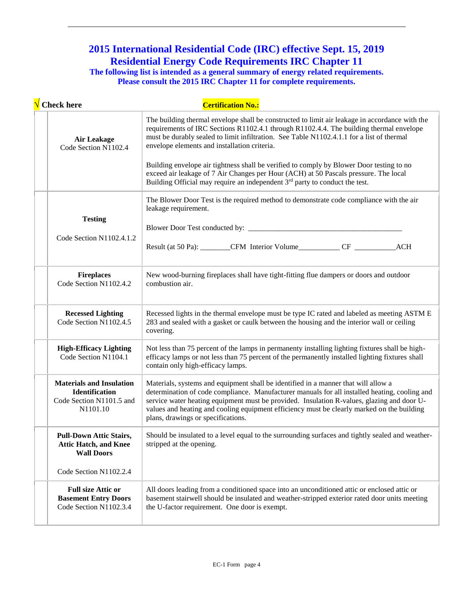# **2015 International Residential Code (IRC) effective Sept. 15, 2019 Residential Energy Code Requirements IRC Chapter 11**

 $\overline{a}$ 

**The following list is intended as a general summary of energy related requirements.** Please consult the 2015 IRC Chapter 11 for complete requirements.

| $\sqrt{\phantom{a}}$ Check here                                                                  | <b>Certification No.:</b>                                                                                                                                                                                                                                                                                                                                                                                             |
|--------------------------------------------------------------------------------------------------|-----------------------------------------------------------------------------------------------------------------------------------------------------------------------------------------------------------------------------------------------------------------------------------------------------------------------------------------------------------------------------------------------------------------------|
| <b>Air Leakage</b><br>Code Section N1102.4                                                       | The building thermal envelope shall be constructed to limit air leakage in accordance with the<br>requirements of IRC Sections R1102.4.1 through R1102.4.4. The building thermal envelope<br>must be durably sealed to limit infiltration. See Table N1102.4.1.1 for a list of thermal<br>envelope elements and installation criteria.                                                                                |
|                                                                                                  | Building envelope air tightness shall be verified to comply by Blower Door testing to no<br>exceed air leakage of 7 Air Changes per Hour (ACH) at 50 Pascals pressure. The local<br>Building Official may require an independent 3 <sup>rd</sup> party to conduct the test.                                                                                                                                           |
| <b>Testing</b>                                                                                   | The Blower Door Test is the required method to demonstrate code compliance with the air<br>leakage requirement.                                                                                                                                                                                                                                                                                                       |
|                                                                                                  |                                                                                                                                                                                                                                                                                                                                                                                                                       |
| Code Section N1102.4.1.2                                                                         | Result (at 50 Pa): _________CFM Interior Volume_____________CF __________________<br><b>ACH</b>                                                                                                                                                                                                                                                                                                                       |
| <b>Fireplaces</b><br>Code Section N1102.4.2                                                      | New wood-burning fireplaces shall have tight-fitting flue dampers or doors and outdoor<br>combustion air.                                                                                                                                                                                                                                                                                                             |
| <b>Recessed Lighting</b><br>Code Section N1102.4.5                                               | Recessed lights in the thermal envelope must be type IC rated and labeled as meeting ASTM E<br>283 and sealed with a gasket or caulk between the housing and the interior wall or ceiling<br>covering.                                                                                                                                                                                                                |
| <b>High-Efficacy Lighting</b><br>Code Section N1104.1                                            | Not less than 75 percent of the lamps in permanenty installing lighting fixtures shall be high-<br>efficacy lamps or not less than 75 percent of the permanently installed lighting fixtures shall<br>contain only high-efficacy lamps.                                                                                                                                                                               |
| <b>Materials and Insulation</b><br><b>Identification</b><br>Code Section N1101.5 and<br>N1101.10 | Materials, systems and equipment shall be identified in a manner that will allow a<br>determination of code compliance. Manufacturer manuals for all installed heating, cooling and<br>service water heating equipment must be provided. Insulation R-values, glazing and door U-<br>values and heating and cooling equipment efficiency must be clearly marked on the building<br>plans, drawings or specifications. |
| <b>Pull-Down Attic Stairs,</b><br><b>Attic Hatch, and Knee</b><br><b>Wall Doors</b>              | Should be insulated to a level equal to the surrounding surfaces and tightly sealed and weather-<br>stripped at the opening.                                                                                                                                                                                                                                                                                          |
| Code Section N1102.2.4                                                                           |                                                                                                                                                                                                                                                                                                                                                                                                                       |
| <b>Full size Attic or</b><br><b>Basement Entry Doors</b><br>Code Section N1102.3.4               | All doors leading from a conditioned space into an unconditioned attic or enclosed attic or<br>basement stairwell should be insulated and weather-stripped exterior rated door units meeting<br>the U-factor requirement. One door is exempt.                                                                                                                                                                         |